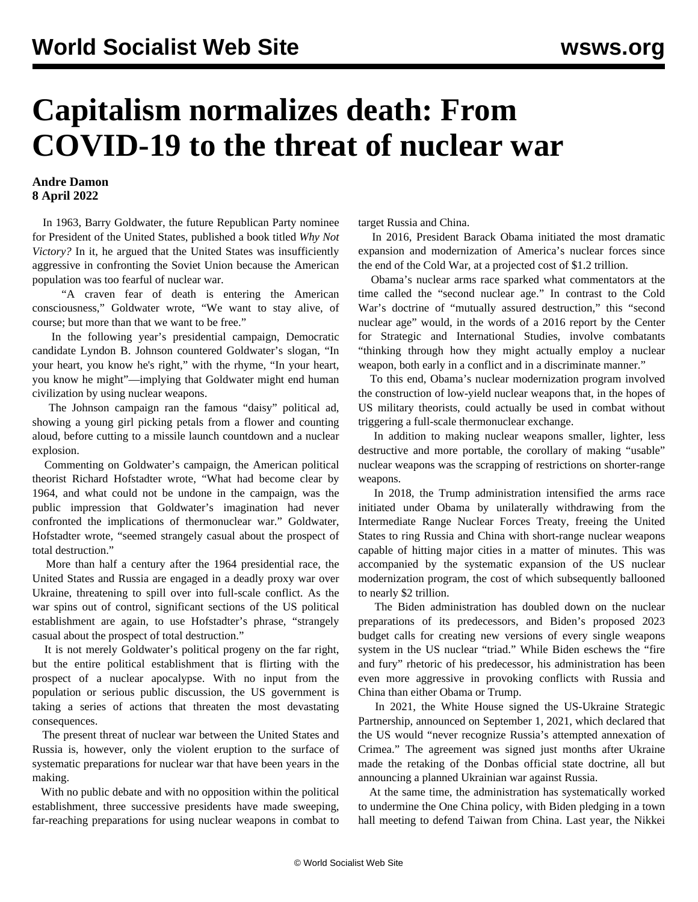## **Capitalism normalizes death: From COVID-19 to the threat of nuclear war**

## **Andre Damon 8 April 2022**

 In 1963, Barry Goldwater, the future Republican Party nominee for President of the United States, published a book titled *Why Not Victory?* In it, he argued that the United States was insufficiently aggressive in confronting the Soviet Union because the American population was too fearful of nuclear war.

 "A craven fear of death is entering the American consciousness," Goldwater wrote, "We want to stay alive, of course; but more than that we want to be free."

 In the following year's presidential campaign, Democratic candidate Lyndon B. Johnson countered Goldwater's slogan, "In your heart, you know he's right," with the rhyme, "In your heart, you know he might"—implying that Goldwater might end human civilization by using nuclear weapons.

 The Johnson campaign ran the famous "daisy" political ad, showing a young girl picking petals from a flower and counting aloud, before cutting to a missile launch countdown and a nuclear explosion.

 Commenting on Goldwater's campaign, the American political theorist Richard Hofstadter wrote, "What had become clear by 1964, and what could not be undone in the campaign, was the public impression that Goldwater's imagination had never confronted the implications of thermonuclear war." Goldwater, Hofstadter wrote, "seemed strangely casual about the prospect of total destruction."

 More than half a century after the 1964 presidential race, the United States and Russia are engaged in a deadly proxy war over Ukraine, threatening to spill over into full-scale conflict. As the war spins out of control, significant sections of the US political establishment are again, to use Hofstadter's phrase, "strangely casual about the prospect of total destruction."

 It is not merely Goldwater's political progeny on the far right, but the entire political establishment that is flirting with the prospect of a nuclear apocalypse. With no input from the population or serious public discussion, the US government is taking a series of actions that threaten the most devastating consequences.

 The present threat of nuclear war between the United States and Russia is, however, only the violent eruption to the surface of systematic preparations for nuclear war that have been years in the making.

 With no public debate and with no opposition within the political establishment, three successive presidents have made sweeping, far-reaching preparations for using nuclear weapons in combat to target Russia and China.

 In 2016, President Barack Obama initiated the most dramatic expansion and modernization of America's nuclear forces since the end of the Cold War, at a projected cost of \$1.2 trillion.

 Obama's nuclear arms race sparked what commentators at the time called the "second nuclear age." In contrast to the Cold War's doctrine of "mutually assured destruction," this "second nuclear age" would, in the words of a 2016 report by the Center for Strategic and International Studies, involve combatants "thinking through how they might actually employ a nuclear weapon, both early in a conflict and in a discriminate manner."

 To this end, Obama's nuclear modernization program involved the construction of low-yield nuclear weapons that, in the hopes of US military theorists, could actually be used in combat without triggering a full-scale thermonuclear exchange.

 In addition to making nuclear weapons smaller, lighter, less destructive and more portable, the corollary of making "usable" nuclear weapons was the scrapping of restrictions on shorter-range weapons.

 In 2018, the Trump administration intensified the arms race initiated under Obama by unilaterally withdrawing from the Intermediate Range Nuclear Forces Treaty, freeing the United States to ring Russia and China with short-range nuclear weapons capable of hitting major cities in a matter of minutes. This was accompanied by the systematic expansion of the US nuclear modernization program, the cost of which subsequently ballooned to nearly \$2 trillion.

 The Biden administration has doubled down on the nuclear preparations of its predecessors, and Biden's proposed 2023 budget calls for creating new versions of every single weapons system in the US nuclear "triad." While Biden eschews the "fire and fury" rhetoric of his predecessor, his administration has been even more aggressive in provoking conflicts with Russia and China than either Obama or Trump.

 In 2021, the White House signed the US-Ukraine Strategic Partnership, announced on September 1, 2021, which declared that the US would "never recognize Russia's attempted annexation of Crimea." The agreement was signed just months after Ukraine made the retaking of the Donbas official state doctrine, all but announcing a planned Ukrainian war against Russia.

 At the same time, the administration has systematically worked to undermine the One China policy, with Biden pledging in a town hall meeting to defend Taiwan from China. Last year, the Nikkei